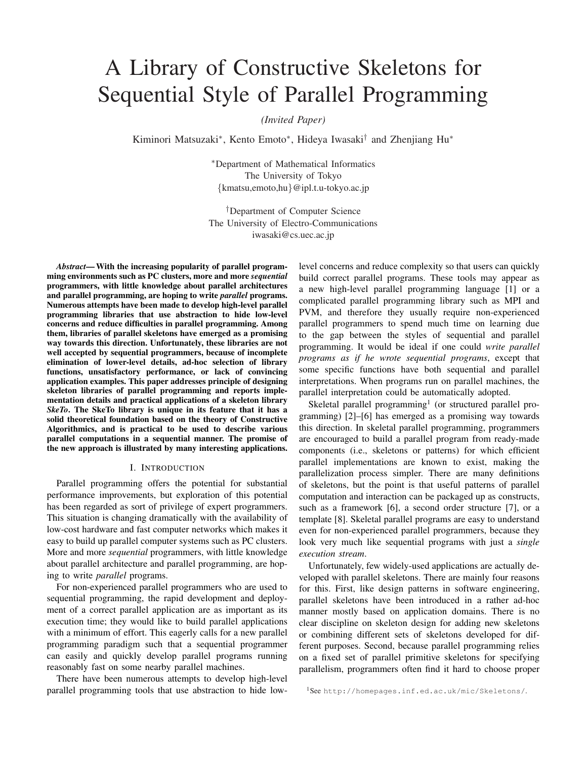# A Library of Constructive Skeletons for Sequential Style of Parallel Programming

*(Invited Paper)*

Kiminori Matsuzaki*∗* , Kento Emoto*∗* , Hideya Iwasaki*†* and Zhenjiang Hu*∗*

*∗*Department of Mathematical Informatics The University of Tokyo *{*kmatsu,emoto,hu*}*@ipl.t.u-tokyo.ac.jp

*†*Department of Computer Science The University of Electro-Communications iwasaki@cs.uec.ac.jp

*Abstract*—With the increasing popularity of parallel programming environments such as PC clusters, more and more *sequential* programmers, with little knowledge about parallel architectures and parallel programming, are hoping to write *parallel* programs. Numerous attempts have been made to develop high-level parallel programming libraries that use abstraction to hide low-level concerns and reduce difficulties in parallel programming. Among them, libraries of parallel skeletons have emerged as a promising way towards this direction. Unfortunately, these libraries are not well accepted by sequential programmers, because of incomplete elimination of lower-level details, ad-hoc selection of library functions, unsatisfactory performance, or lack of convincing application examples. This paper addresses principle of designing skeleton libraries of parallel programming and reports implementation details and practical applications of a skeleton library *SkeTo*. The SkeTo library is unique in its feature that it has a solid theoretical foundation based on the theory of Constructive Algorithmics, and is practical to be used to describe various parallel computations in a sequential manner. The promise of the new approach is illustrated by many interesting applications.

# I. INTRODUCTION

Parallel programming offers the potential for substantial performance improvements, but exploration of this potential has been regarded as sort of privilege of expert programmers. This situation is changing dramatically with the availability of low-cost hardware and fast computer networks which makes it easy to build up parallel computer systems such as PC clusters. More and more *sequential* programmers, with little knowledge about parallel architecture and parallel programming, are hoping to write *parallel* programs.

For non-experienced parallel programmers who are used to sequential programming, the rapid development and deployment of a correct parallel application are as important as its execution time; they would like to build parallel applications with a minimum of effort. This eagerly calls for a new parallel programming paradigm such that a sequential programmer can easily and quickly develop parallel programs running reasonably fast on some nearby parallel machines.

There have been numerous attempts to develop high-level parallel programming tools that use abstraction to hide low-

level concerns and reduce complexity so that users can quickly build correct parallel programs. These tools may appear as a new high-level parallel programming language [1] or a complicated parallel programming library such as MPI and PVM, and therefore they usually require non-experienced parallel programmers to spend much time on learning due to the gap between the styles of sequential and parallel programming. It would be ideal if one could *write parallel programs as if he wrote sequential programs*, except that some specific functions have both sequential and parallel interpretations. When programs run on parallel machines, the parallel interpretation could be automatically adopted.

Skeletal parallel programming<sup>1</sup> (or structured parallel programming) [2]–[6] has emerged as a promising way towards this direction. In skeletal parallel programming, programmers are encouraged to build a parallel program from ready-made components (i.e., skeletons or patterns) for which efficient parallel implementations are known to exist, making the parallelization process simpler. There are many definitions of skeletons, but the point is that useful patterns of parallel computation and interaction can be packaged up as constructs, such as a framework [6], a second order structure [7], or a template [8]. Skeletal parallel programs are easy to understand even for non-experienced parallel programmers, because they look very much like sequential programs with just a *single execution stream*.

Unfortunately, few widely-used applications are actually developed with parallel skeletons. There are mainly four reasons for this. First, like design patterns in software engineering, parallel skeletons have been introduced in a rather ad-hoc manner mostly based on application domains. There is no clear discipline on skeleton design for adding new skeletons or combining different sets of skeletons developed for different purposes. Second, because parallel programming relies on a fixed set of parallel primitive skeletons for specifying parallelism, programmers often find it hard to choose proper

<sup>1</sup>See http://homepages.inf.ed.ac.uk/mic/Skeletons/.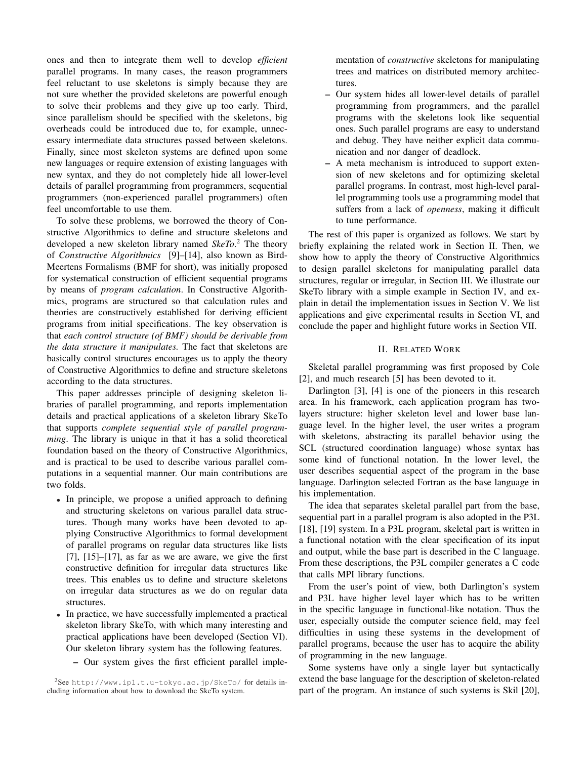ones and then to integrate them well to develop *efficient* parallel programs. In many cases, the reason programmers feel reluctant to use skeletons is simply because they are not sure whether the provided skeletons are powerful enough to solve their problems and they give up too early. Third, since parallelism should be specified with the skeletons, big overheads could be introduced due to, for example, unnecessary intermediate data structures passed between skeletons. Finally, since most skeleton systems are defined upon some new languages or require extension of existing languages with new syntax, and they do not completely hide all lower-level details of parallel programming from programmers, sequential programmers (non-experienced parallel programmers) often feel uncomfortable to use them.

To solve these problems, we borrowed the theory of Constructive Algorithmics to define and structure skeletons and developed a new skeleton library named *SkeTo*. <sup>2</sup> The theory of *Constructive Algorithmics* [9]–[14], also known as Bird-Meertens Formalisms (BMF for short), was initially proposed for systematical construction of efficient sequential programs by means of *program calculation*. In Constructive Algorithmics, programs are structured so that calculation rules and theories are constructively established for deriving efficient programs from initial specifications. The key observation is that *each control structure (of BMF) should be derivable from the data structure it manipulates.* The fact that skeletons are basically control structures encourages us to apply the theory of Constructive Algorithmics to define and structure skeletons according to the data structures.

This paper addresses principle of designing skeleton libraries of parallel programming, and reports implementation details and practical applications of a skeleton library SkeTo that supports *complete sequential style of parallel programming*. The library is unique in that it has a solid theoretical foundation based on the theory of Constructive Algorithmics, and is practical to be used to describe various parallel computations in a sequential manner. Our main contributions are two folds.

- *•* In principle, we propose a unified approach to defining and structuring skeletons on various parallel data structures. Though many works have been devoted to applying Constructive Algorithmics to formal development of parallel programs on regular data structures like lists  $[7]$ ,  $[15]$ – $[17]$ , as far as we are aware, we give the first constructive definition for irregular data structures like trees. This enables us to define and structure skeletons on irregular data structures as we do on regular data structures.
- *•* In practice, we have successfully implemented a practical skeleton library SkeTo, with which many interesting and practical applications have been developed (Section VI). Our skeleton library system has the following features.
	- Our system gives the first efficient parallel imple-

<sup>2</sup>See http://www.ipl.t.u-tokyo.ac.jp/SkeTo/ for details including information about how to download the SkeTo system.

mentation of *constructive* skeletons for manipulating trees and matrices on distributed memory architectures.

- Our system hides all lower-level details of parallel programming from programmers, and the parallel programs with the skeletons look like sequential ones. Such parallel programs are easy to understand and debug. They have neither explicit data communication and nor danger of deadlock.
- A meta mechanism is introduced to support extension of new skeletons and for optimizing skeletal parallel programs. In contrast, most high-level parallel programming tools use a programming model that suffers from a lack of *openness*, making it difficult to tune performance.

The rest of this paper is organized as follows. We start by briefly explaining the related work in Section II. Then, we show how to apply the theory of Constructive Algorithmics to design parallel skeletons for manipulating parallel data structures, regular or irregular, in Section III. We illustrate our SkeTo library with a simple example in Section IV, and explain in detail the implementation issues in Section V. We list applications and give experimental results in Section VI, and conclude the paper and highlight future works in Section VII.

# II. RELATED WORK

Skeletal parallel programming was first proposed by Cole [2], and much research [5] has been devoted to it.

Darlington [3], [4] is one of the pioneers in this research area. In his framework, each application program has twolayers structure: higher skeleton level and lower base language level. In the higher level, the user writes a program with skeletons, abstracting its parallel behavior using the SCL (structured coordination language) whose syntax has some kind of functional notation. In the lower level, the user describes sequential aspect of the program in the base language. Darlington selected Fortran as the base language in his implementation.

The idea that separates skeletal parallel part from the base, sequential part in a parallel program is also adopted in the P3L [18], [19] system. In a P3L program, skeletal part is written in a functional notation with the clear specification of its input and output, while the base part is described in the C language. From these descriptions, the P3L compiler generates a C code that calls MPI library functions.

From the user's point of view, both Darlington's system and P3L have higher level layer which has to be written in the specific language in functional-like notation. Thus the user, especially outside the computer science field, may feel difficulties in using these systems in the development of parallel programs, because the user has to acquire the ability of programming in the new language.

Some systems have only a single layer but syntactically extend the base language for the description of skeleton-related part of the program. An instance of such systems is Skil [20],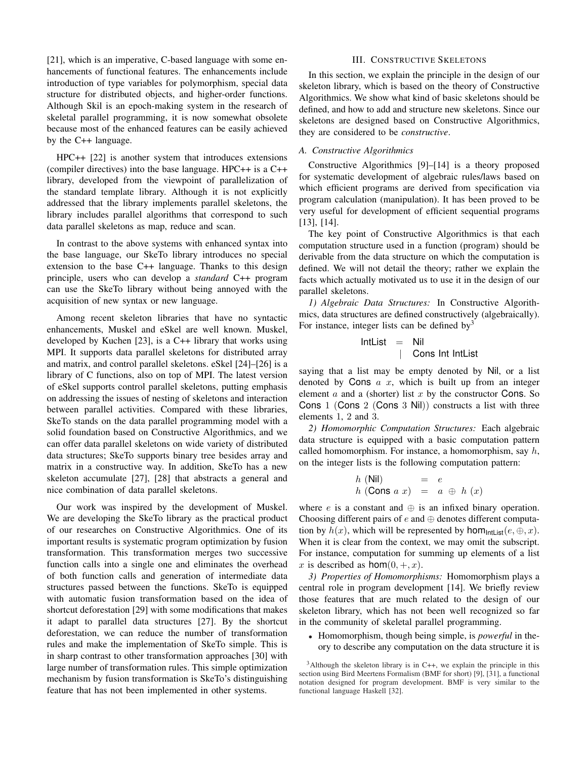[21], which is an imperative, C-based language with some enhancements of functional features. The enhancements include introduction of type variables for polymorphism, special data structure for distributed objects, and higher-order functions. Although Skil is an epoch-making system in the research of skeletal parallel programming, it is now somewhat obsolete because most of the enhanced features can be easily achieved by the C++ language.

HPC++ [22] is another system that introduces extensions (compiler directives) into the base language. HPC++ is a C++ library, developed from the viewpoint of parallelization of the standard template library. Although it is not explicitly addressed that the library implements parallel skeletons, the library includes parallel algorithms that correspond to such data parallel skeletons as map, reduce and scan.

In contrast to the above systems with enhanced syntax into the base language, our SkeTo library introduces no special extension to the base C++ language. Thanks to this design principle, users who can develop a *standard* C++ program can use the SkeTo library without being annoyed with the acquisition of new syntax or new language.

Among recent skeleton libraries that have no syntactic enhancements, Muskel and eSkel are well known. Muskel, developed by Kuchen [23], is a C++ library that works using MPI. It supports data parallel skeletons for distributed array and matrix, and control parallel skeletons. eSkel [24]–[26] is a library of C functions, also on top of MPI. The latest version of eSkel supports control parallel skeletons, putting emphasis on addressing the issues of nesting of skeletons and interaction between parallel activities. Compared with these libraries, SkeTo stands on the data parallel programming model with a solid foundation based on Constructive Algorithmics, and we can offer data parallel skeletons on wide variety of distributed data structures; SkeTo supports binary tree besides array and matrix in a constructive way. In addition, SkeTo has a new skeleton accumulate [27], [28] that abstracts a general and nice combination of data parallel skeletons.

Our work was inspired by the development of Muskel. We are developing the SkeTo library as the practical product of our researches on Constructive Algorithmics. One of its important results is systematic program optimization by fusion transformation. This transformation merges two successive function calls into a single one and eliminates the overhead of both function calls and generation of intermediate data structures passed between the functions. SkeTo is equipped with automatic fusion transformation based on the idea of shortcut deforestation [29] with some modifications that makes it adapt to parallel data structures [27]. By the shortcut deforestation, we can reduce the number of transformation rules and make the implementation of SkeTo simple. This is in sharp contrast to other transformation approaches [30] with large number of transformation rules. This simple optimization mechanism by fusion transformation is SkeTo's distinguishing feature that has not been implemented in other systems.

#### III. CONSTRUCTIVE SKELETONS

In this section, we explain the principle in the design of our skeleton library, which is based on the theory of Constructive Algorithmics. We show what kind of basic skeletons should be defined, and how to add and structure new skeletons. Since our skeletons are designed based on Constructive Algorithmics, they are considered to be *constructive*.

#### *A. Constructive Algorithmics*

Constructive Algorithmics [9]–[14] is a theory proposed for systematic development of algebraic rules/laws based on which efficient programs are derived from specification via program calculation (manipulation). It has been proved to be very useful for development of efficient sequential programs [13], [14].

The key point of Constructive Algorithmics is that each computation structure used in a function (program) should be derivable from the data structure on which the computation is defined. We will not detail the theory; rather we explain the facts which actually motivated us to use it in the design of our parallel skeletons.

*1) Algebraic Data Structures:* In Constructive Algorithmics, data structures are defined constructively (algebraically). For instance, integer lists can be defined by  $3$ 

$$
IntList = Nil
$$
\n
$$
\begin{array}{rcl}\n & \text{I} & \text{I} \\
 & \text{I} & \text{I} \\
 & \text{I} & \text{I}\n\end{array}
$$

saying that a list may be empty denoted by Nil, or a list denoted by Cons *a x*, which is built up from an integer element *a* and a (shorter) list *x* by the constructor Cons. So Cons  $1$  (Cons  $2$  (Cons  $3$  Nil)) constructs a list with three elements 1, 2 and 3.

*2) Homomorphic Computation Structures:* Each algebraic data structure is equipped with a basic computation pattern called homomorphism. For instance, a homomorphism, say *h*, on the integer lists is the following computation pattern:

$$
h \text{ (Nil)} = e
$$
  

$$
h \text{ (Cons } a \ x) = a \ \oplus h \ (x)
$$

where *e* is a constant and *⊕* is an infixed binary operation. Choosing different pairs of *e* and *⊕* denotes different computation by  $h(x)$ , which will be represented by  $hom_{\text{Intlist}}(e, \oplus, x)$ . When it is clear from the context, we may omit the subscript. For instance, computation for summing up elements of a list *x* is described as  $hom(0, +, x)$ .

*3) Properties of Homomorphisms:* Homomorphism plays a central role in program development [14]. We briefly review those features that are much related to the design of our skeleton library, which has not been well recognized so far in the community of skeletal parallel programming.

*•* Homomorphism, though being simple, is *powerful* in theory to describe any computation on the data structure it is

 $3$ Although the skeleton library is in C++, we explain the principle in this section using Bird Meertens Formalism (BMF for short) [9], [31], a functional notation designed for program development. BMF is very similar to the functional language Haskell [32].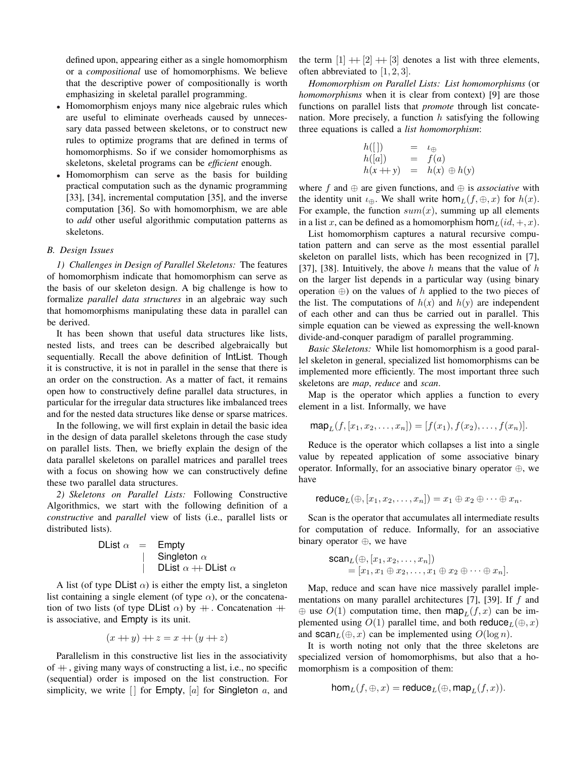defined upon, appearing either as a single homomorphism or a *compositional* use of homomorphisms. We believe that the descriptive power of compositionally is worth emphasizing in skeletal parallel programming.

- Homomorphism enjoys many nice algebraic rules which are useful to eliminate overheads caused by unnecessary data passed between skeletons, or to construct new rules to optimize programs that are defined in terms of homomorphisms. So if we consider homomorphisms as skeletons, skeletal programs can be *efficient* enough.
- *•* Homomorphism can serve as the basis for building practical computation such as the dynamic programming [33], [34], incremental computation [35], and the inverse computation [36]. So with homomorphism, we are able to *add* other useful algorithmic computation patterns as skeletons.

#### *B. Design Issues*

*1) Challenges in Design of Parallel Skeletons:* The features of homomorphism indicate that homomorphism can serve as the basis of our skeleton design. A big challenge is how to formalize *parallel data structures* in an algebraic way such that homomorphisms manipulating these data in parallel can be derived.

It has been shown that useful data structures like lists, nested lists, and trees can be described algebraically but sequentially. Recall the above definition of IntList. Though it is constructive, it is not in parallel in the sense that there is an order on the construction. As a matter of fact, it remains open how to constructively define parallel data structures, in particular for the irregular data structures like imbalanced trees and for the nested data structures like dense or sparse matrices.

In the following, we will first explain in detail the basic idea in the design of data parallel skeletons through the case study on parallel lists. Then, we briefly explain the design of the data parallel skeletons on parallel matrices and parallel trees with a focus on showing how we can constructively define these two parallel data structures.

*2) Skeletons on Parallel Lists:* Following Constructive Algorithmics, we start with the following definition of a *constructive* and *parallel* view of lists (i.e., parallel lists or distributed lists).

| Dist $\alpha$ | =                               | Empty |
|---------------|---------------------------------|-------|
|               | Singleton $\alpha$              |       |
|               | DList $\alpha$ ++DList $\alpha$ |       |

A list (of type DList  $\alpha$ ) is either the empty list, a singleton list containing a single element (of type  $\alpha$ ), or the concatenation of two lists (of type DList  $\alpha$ ) by  $+$ . Concatenation  $+$ is associative, and Empty is its unit.

$$
(x + y) + z = x + (y + z)
$$

Parallelism in this constructive list lies in the associativity of  $+$ , giving many ways of constructing a list, i.e., no specific (sequential) order is imposed on the list construction. For simplicity, we write  $\Box$  for Empty,  $[a]$  for Singleton  $a$ , and the term  $[1] + [2] + [3]$  denotes a list with three elements, often abbreviated to [1*,* 2*,* 3].

*Homomorphism on Parallel Lists: List homomorphisms* (or *homomorphisms* when it is clear from context) [9] are those functions on parallel lists that *promote* through list concatenation. More precisely, a function *h* satisfying the following three equations is called a *list homomorphism*:

$$
h([1]) = \iota_{\oplus}
$$
  
\n
$$
h([a]) = f(a)
$$
  
\n
$$
h(x + y) = h(x) \oplus h(y)
$$

where *f* and *⊕* are given functions, and *⊕* is *associative* with the identity unit  $\iota_{\theta}$ . We shall write  $\text{hom}_L(f, \theta, x)$  for  $h(x)$ . For example, the function  $sum(x)$ , summing up all elements in a list *x*, can be defined as a homomorphism  $\text{hom}_{L}(id, +, x)$ .

List homomorphism captures a natural recursive computation pattern and can serve as the most essential parallel skeleton on parallel lists, which has been recognized in [7], [37], [38]. Intuitively, the above *h* means that the value of *h* on the larger list depends in a particular way (using binary operation *⊕*) on the values of *h* applied to the two pieces of the list. The computations of  $h(x)$  and  $h(y)$  are independent of each other and can thus be carried out in parallel. This simple equation can be viewed as expressing the well-known divide-and-conquer paradigm of parallel programming.

*Basic Skeletons:* While list homomorphism is a good parallel skeleton in general, specialized list homomorphisms can be implemented more efficiently. The most important three such skeletons are *map*, *reduce* and *scan*.

Map is the operator which applies a function to every element in a list. Informally, we have

$$
\text{map}_L(f, [x_1, x_2, \dots, x_n]) = [f(x_1), f(x_2), \dots, f(x_n)].
$$

Reduce is the operator which collapses a list into a single value by repeated application of some associative binary operator. Informally, for an associative binary operator *⊕*, we have

$$
reduce_L(\oplus, [x_1, x_2, \ldots, x_n]) = x_1 \oplus x_2 \oplus \cdots \oplus x_n.
$$

Scan is the operator that accumulates all intermediate results for computation of reduce. Informally, for an associative binary operator *⊕*, we have

$$
\begin{aligned} \mathsf{scan}_L(\oplus, [x_1, x_2, \dots, x_n]) \\ &= [x_1, x_1 \oplus x_2, \dots, x_1 \oplus x_2 \oplus \dots \oplus x_n]. \end{aligned}
$$

Map, reduce and scan have nice massively parallel implementations on many parallel architectures [7], [39]. If *f* and  $\oplus$  use  $O(1)$  computation time, then map<sub>*L*</sub>(*f*, *x*) can be implemented using  $O(1)$  parallel time, and both reduce<sub>L</sub>( $\oplus$ , x) and  $\text{scan}_L(\oplus, x)$  can be implemented using  $O(\log n)$ .

It is worth noting not only that the three skeletons are specialized version of homomorphisms, but also that a homomorphism is a composition of them:

$$
\mathsf{hom}_L(f, \oplus, x) = \mathsf{reduce}_L(\oplus, \mathsf{map}_L(f, x)).
$$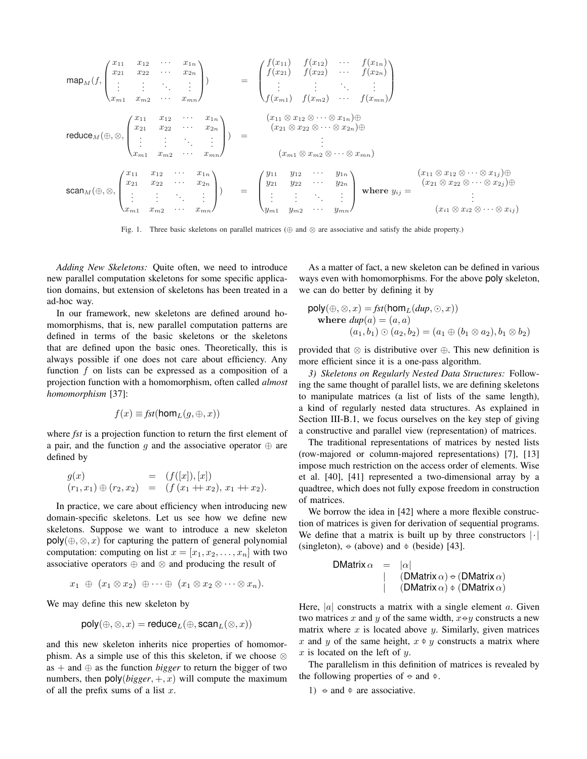$$
\operatorname{map}_{M}(f, \begin{pmatrix} x_{11} & x_{12} & \cdots & x_{1n} \\ x_{21} & x_{22} & \cdots & x_{2n} \\ \vdots & \vdots & \ddots & \vdots \\ x_{m1} & x_{m2} & \cdots & x_{mn} \end{pmatrix}) = \begin{pmatrix} f(x_{11}) & f(x_{12}) & \cdots & f(x_{1n}) \\ f(x_{21}) & f(x_{22}) & \cdots & f(x_{2n}) \\ \vdots & \vdots & \ddots & \vdots \\ f(x_{m1}) & f(x_{m2}) & \cdots & f(x_{mn}) \end{pmatrix}
$$
  
\n
$$
\operatorname{reduce}_{M}(\oplus, \otimes, \begin{pmatrix} x_{11} & x_{12} & \cdots & x_{1n} \\ x_{21} & x_{22} & \cdots & x_{2n} \\ \vdots & \vdots & \ddots & \vdots \\ x_{m1} & x_{m2} & \cdots & x_{mn} \end{pmatrix}) = \begin{pmatrix} (x_{11} \otimes x_{12} \otimes \cdots \otimes x_{1n}) \oplus \\ (x_{21} \otimes x_{22} \otimes \cdots \otimes x_{2n}) \oplus \\ \vdots & \vdots \\ (x_{m1} \otimes x_{m2} \otimes \cdots \otimes x_{mn}) \end{pmatrix}
$$
  
\n
$$
\operatorname{scan}_{M}(\oplus, \otimes, \begin{pmatrix} x_{11} & x_{12} & \cdots & x_{1n} \\ x_{21} & x_{22} & \cdots & x_{2n} \\ \vdots & \vdots & \ddots & \vdots \\ x_{m1} & x_{m2} & \cdots & x_{mn} \end{pmatrix}) = \begin{pmatrix} y_{11} & y_{12} & \cdots & y_{1n} \\ y_{21} & y_{22} & \cdots & y_{2n} \\ \vdots & \vdots & \ddots & \vdots \\ y_{m1} & y_{m2} & \cdots & y_{mn} \end{pmatrix} \text{ where } y_{ij} = \begin{pmatrix} x_{11} \otimes x_{12} \otimes \cdots \otimes x_{1j} \oplus \\ x_{21} \otimes x_{22} \otimes \cdots \otimes x_{2j} \oplus \\ \vdots & \vdots & \ddots \\ (x_{i1} \otimes x_{i2} \otimes \cdots \otimes x_{
$$

Fig. 1. Three basic skeletons on parallel matrices (*⊕* and *⊗* are associative and satisfy the abide property.)

*Adding New Skeletons:* Quite often, we need to introduce new parallel computation skeletons for some specific application domains, but extension of skeletons has been treated in a ad-hoc way.

In our framework, new skeletons are defined around homomorphisms, that is, new parallel computation patterns are defined in terms of the basic skeletons or the skeletons that are defined upon the basic ones. Theoretically, this is always possible if one does not care about efficiency. Any function *f* on lists can be expressed as a composition of a projection function with a homomorphism, often called *almost homomorphism* [37]:

$$
f(x) \equiv \text{fst}(\text{hom}_L(g, \oplus, x))
$$

where *fst* is a projection function to return the first element of a pair, and the function *q* and the associative operator  $\oplus$  are defined by

$$
g(x) = (f([x]), [x])
$$
  
\n
$$
(r_1, x_1) \oplus (r_2, x_2) = (f(x_1 + x_2), x_1 + x_2).
$$

In practice, we care about efficiency when introducing new domain-specific skeletons. Let us see how we define new skeletons. Suppose we want to introduce a new skeleton poly(*⊕, ⊗, x*) for capturing the pattern of general polynomial computation: computing on list  $x = [x_1, x_2, \dots, x_n]$  with two associative operators *⊕* and *⊗* and producing the result of

$$
x_1 \ \oplus \ (x_1 \otimes x_2) \ \oplus \cdots \oplus \ (x_1 \otimes x_2 \otimes \cdots \otimes x_n).
$$

We may define this new skeleton by

$$
\mathsf{poly}(\oplus,\otimes,x)=\mathsf{reduce}_L(\oplus,\mathsf{scan}_L(\otimes,x))
$$

and this new skeleton inherits nice properties of homomorphism. As a simple use of this this skeleton, if we choose *⊗* as + and *⊕* as the function *bigger* to return the bigger of two numbers, then  $poly(bigger, +, x)$  will compute the maximum of all the prefix sums of a list *x*.

As a matter of fact, a new skeleton can be defined in various ways even with homomorphisms. For the above poly skeleton, we can do better by defining it by

$$
\text{poly}(\oplus, \otimes, x) = \text{fst}(\text{hom}_L(\text{dup}, \odot, x))
$$
\n
$$
\text{where } \text{dup}(a) = (a, a)
$$
\n
$$
(a_1, b_1) \odot (a_2, b_2) = (a_1 \oplus (b_1 \otimes a_2), b_1 \otimes b_2)
$$

provided that *⊗* is distributive over *⊕*. This new definition is more efficient since it is a one-pass algorithm.

*3) Skeletons on Regularly Nested Data Structures:* Following the same thought of parallel lists, we are defining skeletons to manipulate matrices (a list of lists of the same length), a kind of regularly nested data structures. As explained in Section III-B.1, we focus ourselves on the key step of giving a constructive and parallel view (representation) of matrices.

The traditional representations of matrices by nested lists (row-majored or column-majored representations) [7], [13] impose much restriction on the access order of elements. Wise et al. [40], [41] represented a two-dimensional array by a quadtree, which does not fully expose freedom in construction of matrices.

We borrow the idea in [42] where a more flexible construction of matrices is given for derivation of sequential programs. We define that a matrix is built up by three constructors *|·|* (singleton), *−◦* (above) and *−◦* (beside) [43].

| $DMatrix \alpha$ | =                                                 | $ \alpha $ |
|------------------|---------------------------------------------------|------------|
|                  | $(DMatrix \alpha) \triangleleft (DMatrix \alpha)$ |            |
|                  | $(DMatrix \alpha) \triangleleft (DMatrix \alpha)$ |            |

Here, *|a|* constructs a matrix with a single element *a*. Given two matrices *x* and *y* of the same width, *x−◦y* constructs a new matrix where *x* is located above *y*. Similarly, given matrices *x* and *y* of the same height,  $x \phi y$  constructs a matrix where *x* is located on the left of *y*.

The parallelism in this definition of matrices is revealed by the following properties of  $\theta$  and  $\phi$ .

1)  $\leftrightarrow$  and  $\phi$  are associative.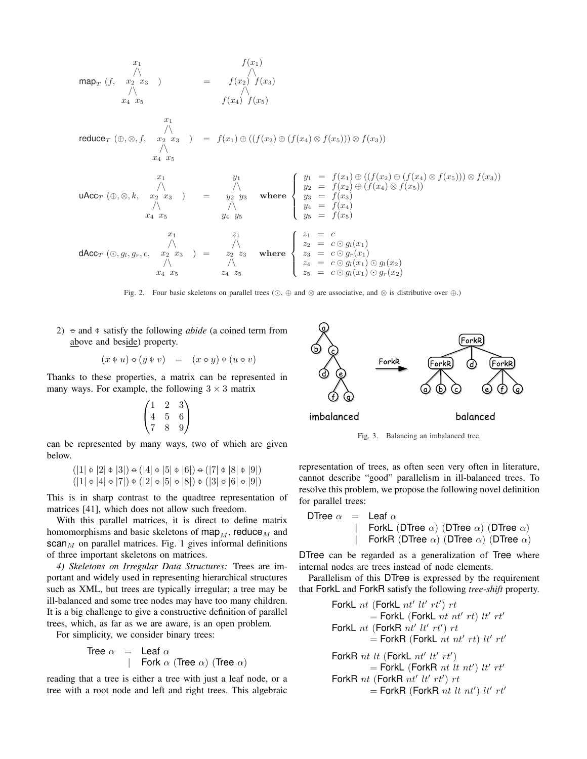$$
\begin{array}{rcl}\n & x_1 & f(x_1) \\
\wedge & \wedge & \wedge \\
 & \wedge & \wedge \\
 & x_4 \ x_5 & f(x_2) & f(x_3)\n\end{array}
$$
\n
$$
\begin{array}{rcl}\n\text{reduce}_T \ (\theta, \otimes, f, & x_2 \ x_3 & \wedge \\
 & \wedge & \wedge \\
 & x_4 \ x_5 & \x_6\n\end{array}
$$
\n
$$
\begin{array}{rcl}\n\text{reduce}_T \ (\theta, \otimes, f, & x_2 \ x_3 & \wedge \\
 & \wedge & \wedge \\
 & x_4 \ x_5 & \x_6\n\end{array}
$$
\n
$$
\begin{array}{rcl}\n\text{Value}_T \ (\theta, \otimes, f, & x_2 \ x_3 & \wedge \\
 & \wedge & \wedge \\
 & x_4 \ x_5 & \x_7\n\end{array}
$$
\n
$$
\begin{array}{rcl}\n\text{UACC}_T \ (\theta, \otimes, k, & x_2 \ x_3 & \wedge \\
 & \wedge & \wedge \\
 & x_4 \ x_5 & \x_7\n\end{array}
$$
\n
$$
\begin{array}{rcl}\n\text{where } \begin{cases}\n y_1 & = f(x_1) \oplus ((f(x_2) \oplus (f(x_4) \otimes f(x_5))) \otimes f(x_3)) \\
 y_2 & = f(x_2) \oplus (f(x_4) \otimes f(x_5)) \\
 y_3 & = f(x_3) \\
 y_4 & = f(x_4) \\
 y_5 & = f(x_5)\n\end{cases}
$$
\n
$$
\begin{array}{rcl}\n\text{AACC}_T \ (\odot, g_1, g_r, c, & x_2 \ x_3 & \wedge \\
 & \wedge & \wedge \\
 & x_4 \ x_5 & \x_6\n\end{array}
$$
\n
$$
\begin{array}{rcl}\n\text{ARec}_T \ (\odot, g_1, g_r, c, & x_2 \ x_3 & \wedge \\
 & x_4 \ x_5 & \x_6\n\end{array}
$$
\n
$$
\begin{array
$$

Fig. 2. Four basic skeletons on parallel trees (*¯*, *⊕* and *⊗* are associative, and *⊗* is distributive over *⊕*.)

2)  $\leftrightarrow$  and  $\phi$  satisfy the following *abide* (a coined term from above and beside) property.

$$
(x \oplus u) \oplus (y \oplus v) = (x \oplus y) \oplus (u \oplus v)
$$

Thanks to these properties, a matrix can be represented in many ways. For example, the following  $3 \times 3$  matrix

$$
\begin{pmatrix}\n1 & 2 & 3 \\
4 & 5 & 6 \\
7 & 8 & 9\n\end{pmatrix}
$$

can be represented by many ways, two of which are given below.

$$
(|1| \Phi |2| \Phi |3|) \Phi (|4| \Phi |5| \Phi |6|) \Phi (|7| \Phi |8| \Phi |9|)
$$
  

$$
(|1| \Phi |4| \Phi |7|) \Phi (|2| \Phi |5| \Phi |8|) \Phi (|3| \Phi |6| \Phi |9|)
$$

This is in sharp contrast to the quadtree representation of matrices [41], which does not allow such freedom.

With this parallel matrices, it is direct to define matrix homomorphisms and basic skeletons of  $\text{map}_M$ , reduce<sub>M</sub> and  $scan<sub>M</sub>$  on parallel matrices. Fig. 1 gives informal definitions of three important skeletons on matrices.

*4) Skeletons on Irregular Data Structures:* Trees are important and widely used in representing hierarchical structures such as XML, but trees are typically irregular; a tree may be ill-balanced and some tree nodes may have too many children. It is a big challenge to give a constructive definition of parallel trees, which, as far as we are aware, is an open problem.

For simplicity, we consider binary trees:

Tree 
$$
\alpha = \text{Leaf } \alpha
$$

\n| Fork  $\alpha$  (Tree  $\alpha$ ) (Tree  $\alpha$ )

reading that a tree is either a tree with just a leaf node, or a tree with a root node and left and right trees. This algebraic





representation of trees, as often seen very often in literature, cannot describe "good" parallelism in ill-balanced trees. To resolve this problem, we propose the following novel definition for parallel trees:

DFree α = Leaf α

\n
$$
|
$$
 ForkL (DTree α) (DTree α) (DTree α)

\n $|$  ForkR (DTree α) (DTree α) (DTree α)

DTree can be regarded as a generalization of Tree where internal nodes are trees instead of node elements.

Parallelism of this DTree is expressed by the requirement that ForkL and ForkR satisfy the following *tree-shift* property.

\n
$$
\begin{aligned}\n &\text{ForkL } nt' \text{ [ForkL } nt' \text{ } tt' \text{ } rt') \text{ } rt \\
 &= \text{ForkL } (\text{ForkL } nt \text{ } nt' \text{ } rt) \text{ } tt' \text{ } rt' \\
 &\text{ForkL } nt \text{ [ForkR } nt' \text{ } tt' \text{ } rt') \text{ } rt \\
 &= \text{ForkR } (\text{ForkL } nt \text{ } nt' \text{ } rt') \text{ } tt' \text{ } rt' \\
 &\text{ForkR } nt \text{ [t (ForkL } nt' \text{ } tt' \text{ } rt') \\
 &= \text{ForkL } (\text{ForkR } nt \text{ } tt \text{ } nt') \text{ } tt' \text{ } rt' \\
 &\text{ForkR } nt' \text{ } tt' \text{ } rt') \text{ } rt \\
 &= \text{ForkR } (\text{ForkR } nt \text{ } tt \text{ } nt') \text{ } tt' \text{ } rt' \\
 &\text{ForkR } nt' \text{ } tt' \text{ } rt' \text{ } rt' \\
 &\text{ForkR } nt' \text{ } tt' \text{ } rt' \text{ } rt' \\
 &\text{ForkR } nt' \text{ } tt' \text{ } rt' \text{ } rt' \\
 &\text{ForkR } nt' \text{ } tt' \text{ } rt' \text{ } rt' \text{ } rt' \\
 &\text{ForkR } nt' \text{ } tt' \text{ } rt' \text{ } rt' \text{ } rt' \text{ } rt' \text{ } rt' \text{ } rt' \text{ } rt' \text{ } rt' \text{ } rt' \text{ } rt' \text{ } rt' \text{ } rt' \text{ } rt' \text{ } rt' \text{ } rt' \text{ } rt' \text{ } rt' \text{ } rt' \text{ } rt' \text{ } rt' \text{ } rt' \text{ } rt' \text{ } rt' \text{ } rt' \text{ } rt' \text{ } rt' \text{ } rt' \text{ } rt' \text{ } rt' \text{ } rt' \text{ } rt' \text{ } rt' \text{ } rt' \text{ } rt' \text{ } rt' \text{ } rt' \text{ } rt' \text{ } rt' \text{ } rt' \text{ } rt' \text{ } rt' \text{ } rt' \text{ } rt' \text{ } rt' \text{ } rt' \text{ } rt' \text{ } rt' \text{ } rt' \text{ } rt
$$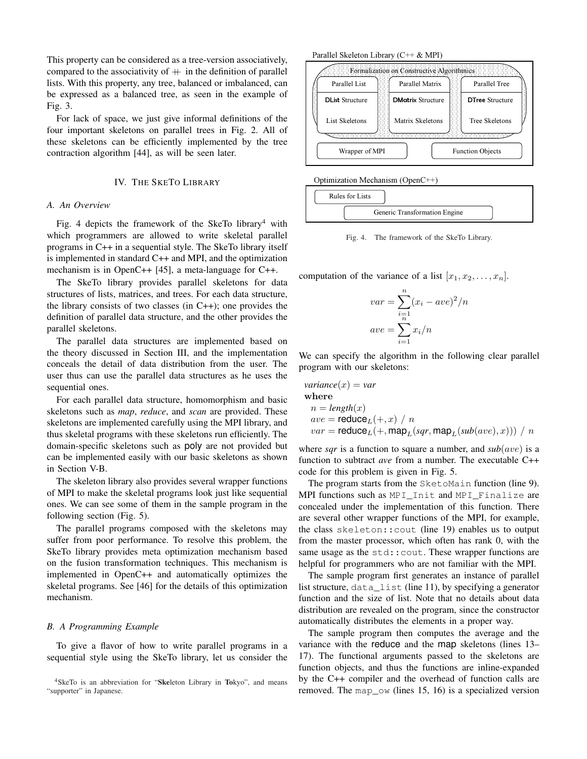This property can be considered as a tree-version associatively, compared to the associativity of  $+$  in the definition of parallel lists. With this property, any tree, balanced or imbalanced, can be expressed as a balanced tree, as seen in the example of Fig. 3.

For lack of space, we just give informal definitions of the four important skeletons on parallel trees in Fig. 2. All of these skeletons can be efficiently implemented by the tree contraction algorithm [44], as will be seen later.

# IV. THE SKETO LIBRARY

# *A. An Overview*

Fig. 4 depicts the framework of the SkeTo library<sup>4</sup> with which programmers are allowed to write skeletal parallel programs in C++ in a sequential style. The SkeTo library itself is implemented in standard C++ and MPI, and the optimization mechanism is in OpenC++ [45], a meta-language for C++.

The SkeTo library provides parallel skeletons for data structures of lists, matrices, and trees. For each data structure, the library consists of two classes (in  $C++$ ); one provides the definition of parallel data structure, and the other provides the parallel skeletons.

The parallel data structures are implemented based on the theory discussed in Section III, and the implementation conceals the detail of data distribution from the user. The user thus can use the parallel data structures as he uses the sequential ones.

For each parallel data structure, homomorphism and basic skeletons such as *map*, *reduce*, and *scan* are provided. These skeletons are implemented carefully using the MPI library, and thus skeletal programs with these skeletons run efficiently. The domain-specific skeletons such as poly are not provided but can be implemented easily with our basic skeletons as shown in Section V-B.

The skeleton library also provides several wrapper functions of MPI to make the skeletal programs look just like sequential ones. We can see some of them in the sample program in the following section (Fig. 5).

The parallel programs composed with the skeletons may suffer from poor performance. To resolve this problem, the SkeTo library provides meta optimization mechanism based on the fusion transformation techniques. This mechanism is implemented in OpenC++ and automatically optimizes the skeletal programs. See [46] for the details of this optimization mechanism.

# *B. A Programming Example*

To give a flavor of how to write parallel programs in a sequential style using the SkeTo library, let us consider the

Parallel Skeleton Library (C++ & MPI)





Fig. 4. The framework of the SkeTo Library.

computation of the variance of a list  $[x_1, x_2, \ldots, x_n]$ .

$$
var = \sum_{i=1}^{n} (x_i - ave)^2/n
$$
  

$$
ave = \sum_{i=1}^{n} x_i/n
$$

We can specify the algorithm in the following clear parallel program with our skeletons:

$$
variance(x) = var
$$
  
where  

$$
n = length(x)
$$
  

$$
ave = \text{reduce}_L(+, x) / n
$$
  

$$
var = \text{reduce}_L(+, \text{map}_L(sqr, \text{map}_L(sub(ave), x))) / n
$$

where *sqr* is a function to square a number, and  $sub(ave)$  is a function to subtract *ave* from a number. The executable C++ code for this problem is given in Fig. 5.

The program starts from the SketoMain function (line 9). MPI functions such as MPI\_Init and MPI\_Finalize are concealed under the implementation of this function. There are several other wrapper functions of the MPI, for example, the class skeleton::cout (line 19) enables us to output from the master processor, which often has rank 0, with the same usage as the std:: cout. These wrapper functions are helpful for programmers who are not familiar with the MPI.

The sample program first generates an instance of parallel list structure, data list (line 11), by specifying a generator function and the size of list. Note that no details about data distribution are revealed on the program, since the constructor automatically distributes the elements in a proper way.

The sample program then computes the average and the variance with the reduce and the map skeletons (lines 13– 17). The functional arguments passed to the skeletons are function objects, and thus the functions are inline-expanded by the C++ compiler and the overhead of function calls are removed. The map\_ow (lines 15, 16) is a specialized version

<sup>4</sup>SkeTo is an abbreviation for "Skeleton Library in Tokyo", and means "supporter" in Japanese.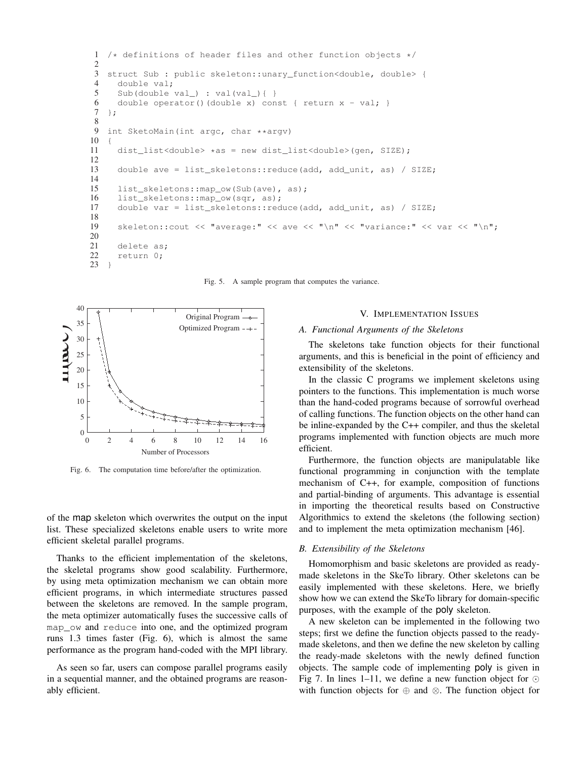```
1 /* definitions of header files and other function objects */\frac{2}{3}struct Sub : public skeleton::unary_function<double, double> {
4 double val;
5 Sub(double val_) : val(val_){ }
6 double operator()(double x) const { return x - val; }<br>7 };
   7 };
8
   int SketoMain(int argc, char **argv)
10 {
11 dist_list<double> *as = new dist_list<double>(gen, SIZE);
12
13 double ave = list_skeletons::reduce(add, add_unit, as) / SIZE;
14
15 list_skeletons::map_ow(Sub(ave), as);<br>16 list skeletons::map ow(sqr. as);
     list_skeletons::map_ow(sqr, as);
17 double var = list_skeletons::reduce(add, add_unit, as) / SIZE;
18
19 skeleton::cout << "average:" << ave << "\n" << "variance:" << war << "\n";
20
21 delete as;
22 return 0;
23 }
```
Fig. 5. A sample program that computes the variance.



Fig. 6. The computation time before/after the optimization.

of the map skeleton which overwrites the output on the input list. These specialized skeletons enable users to write more efficient skeletal parallel programs.

Thanks to the efficient implementation of the skeletons, the skeletal programs show good scalability. Furthermore, by using meta optimization mechanism we can obtain more efficient programs, in which intermediate structures passed between the skeletons are removed. In the sample program, the meta optimizer automatically fuses the successive calls of map\_ow and reduce into one, and the optimized program runs 1.3 times faster (Fig. 6), which is almost the same performance as the program hand-coded with the MPI library.

As seen so far, users can compose parallel programs easily in a sequential manner, and the obtained programs are reasonably efficient.

#### V. IMPLEMENTATION ISSUES

#### *A. Functional Arguments of the Skeletons*

The skeletons take function objects for their functional arguments, and this is beneficial in the point of efficiency and extensibility of the skeletons.

In the classic C programs we implement skeletons using pointers to the functions. This implementation is much worse than the hand-coded programs because of sorrowful overhead of calling functions. The function objects on the other hand can be inline-expanded by the C++ compiler, and thus the skeletal programs implemented with function objects are much more efficient.

Furthermore, the function objects are manipulatable like functional programming in conjunction with the template mechanism of C++, for example, composition of functions and partial-binding of arguments. This advantage is essential in importing the theoretical results based on Constructive Algorithmics to extend the skeletons (the following section) and to implement the meta optimization mechanism [46].

# *B. Extensibility of the Skeletons*

Homomorphism and basic skeletons are provided as readymade skeletons in the SkeTo library. Other skeletons can be easily implemented with these skeletons. Here, we briefly show how we can extend the SkeTo library for domain-specific purposes, with the example of the poly skeleton.

A new skeleton can be implemented in the following two steps; first we define the function objects passed to the readymade skeletons, and then we define the new skeleton by calling the ready-made skeletons with the newly defined function objects. The sample code of implementing poly is given in Fig 7. In lines 1–11, we define a new function object for  $\odot$ with function objects for *⊕* and *⊗*. The function object for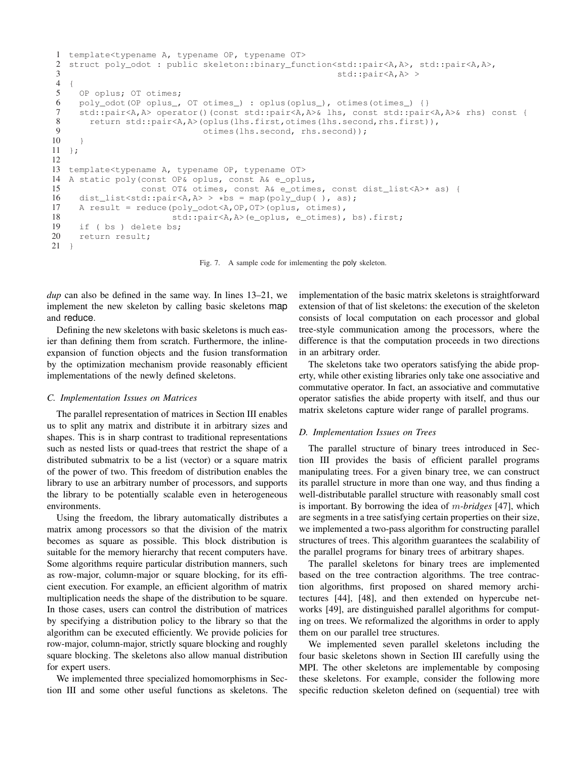```
1 template<typename A, typename OP, typename OT>
   struct poly_odot : public skeleton::binary_function<std::pair<A,A>, std::pair<A,A>,
3 std::pair<A,A> >
 \begin{matrix} 4 & 6 \\ 5 & 6 \end{matrix}OP oplus; OT otimes;
 6 poly_odot(OP oplus_, OT otimes_) : oplus(oplus_), otimes(otimes_) {}<br>
7 std::pair<A,A> operator()(const std::pair<A,A>& lhs, const std::pair
      7 std::pair<A,A> operator()(const std::pair<A,A>& lhs, const std::pair<A,A>& rhs) const {
 8 return std::pair<A,A>(oplus(lhs.first,otimes(lhs.second,rhs.first)),<br>\theta otimes(lhs.second,rhs.second)):
                                   otimes(lhs.second, rhs.second));
10 }
11 };
12
13 template<typename A, typename OP, typename OT>
14 A static poly(const OP& oplus, const A& e_oplus,
15 const OT& otimes, const A& e_otimes, const dist_list<A>* as) {<br>16 dist list<std::pair<A.A> > *bs = map(poly dup(), as):
16 dist_list<std::pair<A,A> > *bs = map(poly_dup(), as);<br>17 A result = reduce(poly odot<A,OP,OT>(oplus, otimes),
      A result = reduce(poly_odot<A,OP,OT>(oplus, otimes),
18 std::pair<A,A>(e_oplus, e_otimes), bs).first;
19 if ( bs ) delete bs;
20 return result;
21 \frac{1}{2}
```
Fig. 7. A sample code for imlementing the poly skeleton.

*dup* can also be defined in the same way. In lines 13–21, we implement the new skeleton by calling basic skeletons map and reduce.

Defining the new skeletons with basic skeletons is much easier than defining them from scratch. Furthermore, the inlineexpansion of function objects and the fusion transformation by the optimization mechanism provide reasonably efficient implementations of the newly defined skeletons.

#### *C. Implementation Issues on Matrices*

The parallel representation of matrices in Section III enables us to split any matrix and distribute it in arbitrary sizes and shapes. This is in sharp contrast to traditional representations such as nested lists or quad-trees that restrict the shape of a distributed submatrix to be a list (vector) or a square matrix of the power of two. This freedom of distribution enables the library to use an arbitrary number of processors, and supports the library to be potentially scalable even in heterogeneous environments.

Using the freedom, the library automatically distributes a matrix among processors so that the division of the matrix becomes as square as possible. This block distribution is suitable for the memory hierarchy that recent computers have. Some algorithms require particular distribution manners, such as row-major, column-major or square blocking, for its efficient execution. For example, an efficient algorithm of matrix multiplication needs the shape of the distribution to be square. In those cases, users can control the distribution of matrices by specifying a distribution policy to the library so that the algorithm can be executed efficiently. We provide policies for row-major, column-major, strictly square blocking and roughly square blocking. The skeletons also allow manual distribution for expert users.

We implemented three specialized homomorphisms in Section III and some other useful functions as skeletons. The implementation of the basic matrix skeletons is straightforward extension of that of list skeletons: the execution of the skeleton consists of local computation on each processor and global tree-style communication among the processors, where the difference is that the computation proceeds in two directions in an arbitrary order.

The skeletons take two operators satisfying the abide property, while other existing libraries only take one associative and commutative operator. In fact, an associative and commutative operator satisfies the abide property with itself, and thus our matrix skeletons capture wider range of parallel programs.

# *D. Implementation Issues on Trees*

The parallel structure of binary trees introduced in Section III provides the basis of efficient parallel programs manipulating trees. For a given binary tree, we can construct its parallel structure in more than one way, and thus finding a well-distributable parallel structure with reasonably small cost is important. By borrowing the idea of *m-bridges* [47], which are segments in a tree satisfying certain properties on their size, we implemented a two-pass algorithm for constructing parallel structures of trees. This algorithm guarantees the scalability of the parallel programs for binary trees of arbitrary shapes.

The parallel skeletons for binary trees are implemented based on the tree contraction algorithms. The tree contraction algorithms, first proposed on shared memory architectures [44], [48], and then extended on hypercube networks [49], are distinguished parallel algorithms for computing on trees. We reformalized the algorithms in order to apply them on our parallel tree structures.

We implemented seven parallel skeletons including the four basic skeletons shown in Section III carefully using the MPI. The other skeletons are implementable by composing these skeletons. For example, consider the following more specific reduction skeleton defined on (sequential) tree with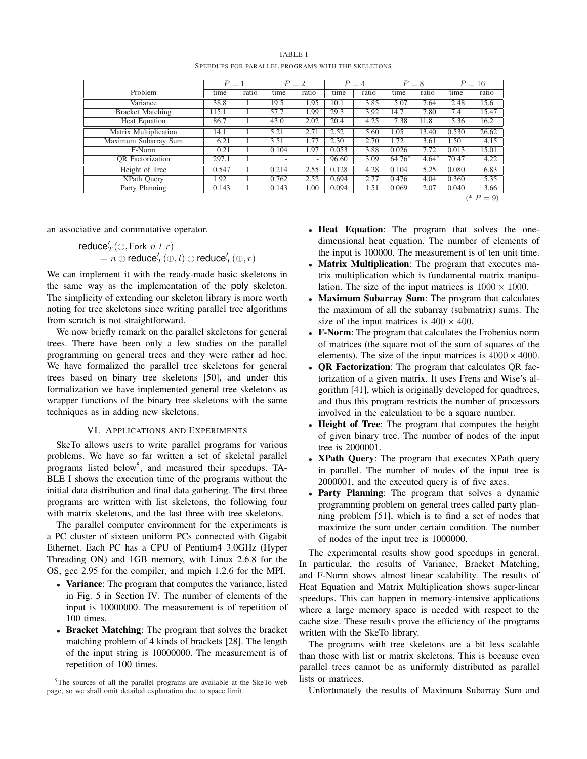|--|--|

SPEEDUPS FOR PARALLEL PROGRAMS WITH THE SKELETONS

|                              | $\overline{P}=1$ |       | $P=2$                    |       | $P = 4$ |       | $P=8$  |         | $P=16$ |       |
|------------------------------|------------------|-------|--------------------------|-------|---------|-------|--------|---------|--------|-------|
| Problem                      | time             | ratio | time                     | ratio | time    | ratio | time   | ratio   | time   | ratio |
| Variance                     | 38.8             |       | 19.5                     | 1.95  | 10.1    | 3.85  | 5.07   | 7.64    | 2.48   | 15.6  |
| <b>Bracket Matching</b>      | 115.1            |       | 57.7                     | 1.99  | 29.3    | 3.92  | 14.7   | 7.80    | 7.4    | 15.47 |
| <b>Heat Equation</b>         | 86.7             |       | 43.0                     | 2.02  | 20.4    | 4.25  | 7.38   | 11.8    | 5.36   | 16.2  |
| <b>Matrix Multiplication</b> | 14.1             |       | 5.21                     | 2.71  | 2.52    | 5.60  | 1.05   | 13.40   | 0.530  | 26.62 |
| Maximum Subarray Sum         | 6.21             |       | 3.51                     | 1.77  | 2.30    | 2.70  | 1.72   | 3.61    | 1.50   | 4.15  |
| F-Norm                       | 0.21             |       | 0.104                    | 1.97  | 0.053   | 3.88  | 0.026  | 7.72    | 0.013  | 15.01 |
| <b>OR</b> Factorization      | 297.1            |       | $\overline{\phantom{a}}$ | ۰     | 96.60   | 3.09  | 64.76* | $4.64*$ | 70.47  | 4.22  |
| Height of Tree               | 0.547            |       | 0.214                    | 2.55  | 0.128   | 4.28  | 0.104  | 5.25    | 0.080  | 6.83  |
| XPath Query                  | 1.92             |       | 0.762                    | 2.52  | 0.694   | 2.77  | 0.476  | 4.04    | 0.360  | 5.35  |
| Party Planning               | 0.143            |       | 0.143                    | 1.00  | 0.094   | 1.51  | 0.069  | 2.07    | 0.040  | 3.66  |
|                              |                  |       |                          |       |         |       |        |         | (*     | $= 9$ |

an associative and commutative operator.

$$
\begin{array}{l}{\rm reduce}_T'(\oplus,{\rm Fork}\ n\ l\ r)\\ = n\oplus{\rm reduce}_T'(\oplus,l)\oplus{\rm reduce}_T'(\oplus,r)\end{array}
$$

We can implement it with the ready-made basic skeletons in the same way as the implementation of the poly skeleton. The simplicity of extending our skeleton library is more worth noting for tree skeletons since writing parallel tree algorithms from scratch is not straightforward.

We now briefly remark on the parallel skeletons for general trees. There have been only a few studies on the parallel programming on general trees and they were rather ad hoc. We have formalized the parallel tree skeletons for general trees based on binary tree skeletons [50], and under this formalization we have implemented general tree skeletons as wrapper functions of the binary tree skeletons with the same techniques as in adding new skeletons.

#### VI. APPLICATIONS AND EXPERIMENTS

SkeTo allows users to write parallel programs for various problems. We have so far written a set of skeletal parallel programs listed below<sup>5</sup>, and measured their speedups. TA-BLE I shows the execution time of the programs without the initial data distribution and final data gathering. The first three programs are written with list skeletons, the following four with matrix skeletons, and the last three with tree skeletons.

The parallel computer environment for the experiments is a PC cluster of sixteen uniform PCs connected with Gigabit Ethernet. Each PC has a CPU of Pentium4 3.0GHz (Hyper Threading ON) and 1GB memory, with Linux 2.6.8 for the OS, gcc 2.95 for the compiler, and mpich 1.2.6 for the MPI.

- Variance: The program that computes the variance, listed in Fig. 5 in Section IV. The number of elements of the input is 10000000. The measurement is of repetition of 100 times.
- *•* Bracket Matching: The program that solves the bracket matching problem of 4 kinds of brackets [28]. The length of the input string is 10000000. The measurement is of repetition of 100 times.

<sup>5</sup>The sources of all the parallel programs are available at the SkeTo web page, so we shall omit detailed explanation due to space limit.

- **Heat Equation:** The program that solves the onedimensional heat equation. The number of elements of the input is 100000. The measurement is of ten unit time.
- *•* Matrix Multiplication: The program that executes matrix multiplication which is fundamental matrix manipulation. The size of the input matrices is  $1000 \times 1000$ .
- Maximum Subarray Sum: The program that calculates the maximum of all the subarray (submatrix) sums. The size of the input matrices is  $400 \times 400$ .
- *•* F-Norm: The program that calculates the Frobenius norm of matrices (the square root of the sum of squares of the elements). The size of the input matrices is  $4000 \times 4000$ .
- **QR Factorization**: The program that calculates QR factorization of a given matrix. It uses Frens and Wise's algorithm [41], which is originally developed for quadtrees, and thus this program restricts the number of processors involved in the calculation to be a square number.
- **Height of Tree**: The program that computes the height of given binary tree. The number of nodes of the input tree is 2000001.
- *•* XPath Query: The program that executes XPath query in parallel. The number of nodes of the input tree is 2000001, and the executed query is of five axes.
- **Party Planning**: The program that solves a dynamic programming problem on general trees called party planning problem [51], which is to find a set of nodes that maximize the sum under certain condition. The number of nodes of the input tree is 1000000.

The experimental results show good speedups in general. In particular, the results of Variance, Bracket Matching, and F-Norm shows almost linear scalability. The results of Heat Equation and Matrix Multiplication shows super-linear speedups. This can happen in memory-intensive applications where a large memory space is needed with respect to the cache size. These results prove the efficiency of the programs written with the SkeTo library.

The programs with tree skeletons are a bit less scalable than those with list or matrix skeletons. This is because even parallel trees cannot be as uniformly distributed as parallel lists or matrices.

Unfortunately the results of Maximum Subarray Sum and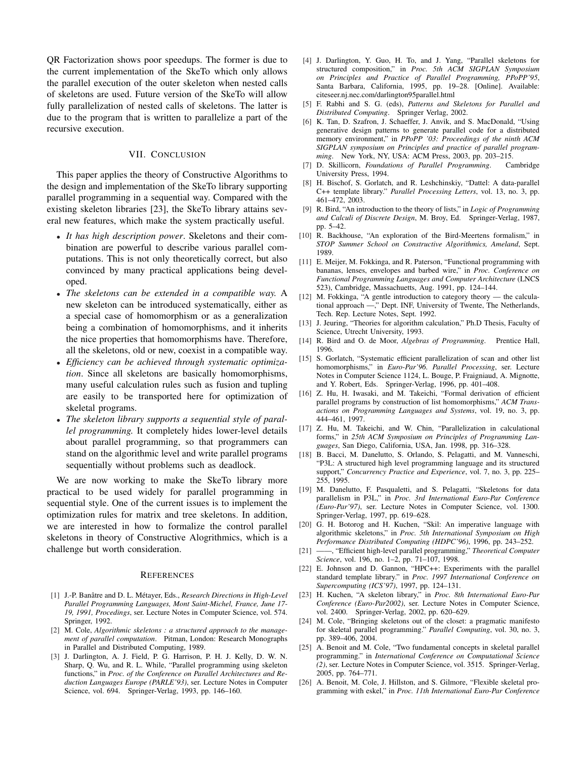QR Factorization shows poor speedups. The former is due to the current implementation of the SkeTo which only allows the parallel execution of the outer skeleton when nested calls of skeletons are used. Future version of the SkeTo will allow fully parallelization of nested calls of skeletons. The latter is due to the program that is written to parallelize a part of the recursive execution.

# VII. CONCLUSION

This paper applies the theory of Constructive Algorithms to the design and implementation of the SkeTo library supporting parallel programming in a sequential way. Compared with the existing skeleton libraries [23], the SkeTo library attains several new features, which make the system practically useful.

- *• It has high description power*. Skeletons and their combination are powerful to describe various parallel computations. This is not only theoretically correct, but also convinced by many practical applications being developed.
- *• The skeletons can be extended in a compatible way.* A new skeleton can be introduced systematically, either as a special case of homomorphism or as a generalization being a combination of homomorphisms, and it inherits the nice properties that homomorphisms have. Therefore, all the skeletons, old or new, coexist in a compatible way.
- *• Efficiency can be achieved through systematic optimization*. Since all skeletons are basically homomorphisms, many useful calculation rules such as fusion and tupling are easily to be transported here for optimization of skeletal programs.
- *• The skeleton library supports a sequential style of parallel programming.* It completely hides lower-level details about parallel programming, so that programmers can stand on the algorithmic level and write parallel programs sequentially without problems such as deadlock.

We are now working to make the SkeTo library more practical to be used widely for parallel programming in sequential style. One of the current issues is to implement the optimization rules for matrix and tree skeletons. In addition, we are interested in how to formalize the control parallel skeletons in theory of Constructive Alogrithmics, which is a challenge but worth consideration.

#### **REFERENCES**

- [1] J.-P. Banâtre and D. L. Métayer, Eds., *Research Directions in High-Level Parallel Programming Languages, Mont Saint-Michel, France, June 17- 19, 1991, Procedings*, ser. Lecture Notes in Computer Science, vol. 574. Springer, 1992.
- [2] M. Cole, *Algorithmic skeletons : a structured approach to the management of parallel computation*. Pitman, London: Research Monographs in Parallel and Distributed Computing, 1989.
- [3] J. Darlington, A. J. Field, P. G. Harrison, P. H. J. Kelly, D. W. N. Sharp, Q. Wu, and R. L. While, "Parallel programming using skeleton functions," in *Proc. of the Conference on Parallel Architectures and Reduction Languages Europe (PARLE'93)*, ser. Lecture Notes in Computer Science, vol. 694. Springer-Verlag, 1993, pp. 146–160.
- [4] J. Darlington, Y. Guo, H. To, and J. Yang, "Parallel skeletons for structured composition," in *Proc. 5th ACM SIGPLAN Symposium on Principles and Practice of Parallel Programming, PPoPP'95*, Santa Barbara, California, 1995, pp. 19–28. [Online]. Available: citeseer.nj.nec.com/darlington95parallel.html
- [5] F. Rabhi and S. G. (eds), *Patterns and Skeletons for Parallel and Distributed Computing*. Springer Verlag, 2002.
- [6] K. Tan, D. Szafron, J. Schaeffer, J. Anvik, and S. MacDonald, "Using generative design patterns to generate parallel code for a distributed memory environment," in *PPoPP '03: Proceedings of the ninth ACM SIGPLAN symposium on Principles and practice of parallel programming*. New York, NY, USA: ACM Press, 2003, pp. 203–215.
- [7] D. Skillicorn, *Foundations of Parallel Programming*. Cambridge University Press, 1994.
- [8] H. Bischof, S. Gorlatch, and R. Leshchinskiy, "Dattel: A data-parallel C++ template library." *Parallel Processing Letters*, vol. 13, no. 3, pp. 461–472, 2003.
- [9] R. Bird, "An introduction to the theory of lists," in *Logic of Programming and Calculi of Discrete Design*, M. Broy, Ed. Springer-Verlag, 1987, pp. 5–42.
- [10] R. Backhouse, "An exploration of the Bird-Meertens formalism," in *STOP Summer School on Constructive Algorithmics, Ameland*, Sept. 1989.
- [11] E. Meijer, M. Fokkinga, and R. Paterson, "Functional programming with bananas, lenses, envelopes and barbed wire," in *Proc. Conference on Functional Programming Languages and Computer Architecture* (LNCS 523), Cambridge, Massachuetts, Aug. 1991, pp. 124–144.
- [12] M. Fokkinga, "A gentle introduction to category theory the calculational approach —," Dept. INF, University of Twente, The Netherlands, Tech. Rep. Lecture Notes, Sept. 1992.
- [13] J. Jeuring, "Theories for algorithm calculation," Ph.D Thesis, Faculty of Science, Utrecht University, 1993.
- [14] R. Bird and O. de Moor, *Algebras of Programming*. Prentice Hall, 1996.
- [15] S. Gorlatch, "Systematic efficient parallelization of scan and other list homomorphisms," in *Euro-Par'96. Parallel Processing*, ser. Lecture Notes in Computer Science 1124, L. Bouge, P. Fraigniaud, A. Mignotte, and Y. Robert, Eds. Springer-Verlag, 1996, pp. 401–408.
- [16] Z. Hu, H. Iwasaki, and M. Takeichi, "Formal derivation of efficient parallel programs by construction of list homomorphisms," *ACM Transactions on Programming Languages and Systems*, vol. 19, no. 3, pp. 444–461, 1997.
- [17] Z. Hu, M. Takeichi, and W. Chin, "Parallelization in calculational forms," in *25th ACM Symposium on Principles of Programming Languages*, San Diego, California, USA, Jan. 1998, pp. 316–328.
- [18] B. Bacci, M. Danelutto, S. Orlando, S. Pelagatti, and M. Vanneschi, "P3L: A structured high level programming language and its structured support," *Concurrency Practice and Experience*, vol. 7, no. 3, pp. 225– 255, 1995.
- [19] M. Danelutto, F. Pasqualetti, and S. Pelagatti, "Skeletons for data parallelism in P3L," in *Proc. 3rd International Euro-Par Conference (Euro-Par'97)*, ser. Lecture Notes in Computer Science, vol. 1300. Springer-Verlag, 1997, pp. 619–628.
- [20] G. H. Botorog and H. Kuchen, "Skil: An imperative language with algorithmic skeletons," in *Proc. 5th International Symposium on High Performance Distributed Computing (HDPC'96)*, 1996, pp. 243–252.
- [21] ——, "Efficient high-level parallel programming," *Theoretical Computer Science*, vol. 196, no. 1–2, pp. 71–107, 1998.
- [22] E. Johnson and D. Gannon, "HPC++: Experiments with the parallel standard template library." in *Proc. 1997 International Conference on Supercomputing (ICS'97)*, 1997, pp. 124–131.
- [23] H. Kuchen, "A skeleton library," in *Proc. 8th International Euro-Par Conference (Euro-Par2002)*, ser. Lecture Notes in Computer Science, vol. 2400. Springer-Verlag, 2002, pp. 620–629.
- [24] M. Cole, "Bringing skeletons out of the closet: a pragmatic manifesto for skeletal parallel programming." *Parallel Computing*, vol. 30, no. 3, pp. 389–406, 2004.
- [25] A. Benoit and M. Cole, "Two fundamental concepts in skeletal parallel programming." in *International Conference on Computational Science (2)*, ser. Lecture Notes in Computer Science, vol. 3515. Springer-Verlag, 2005, pp. 764–771.
- [26] A. Benoit, M. Cole, J. Hillston, and S. Gilmore, "Flexible skeletal programming with eskel," in *Proc. 11th International Euro-Par Conference*